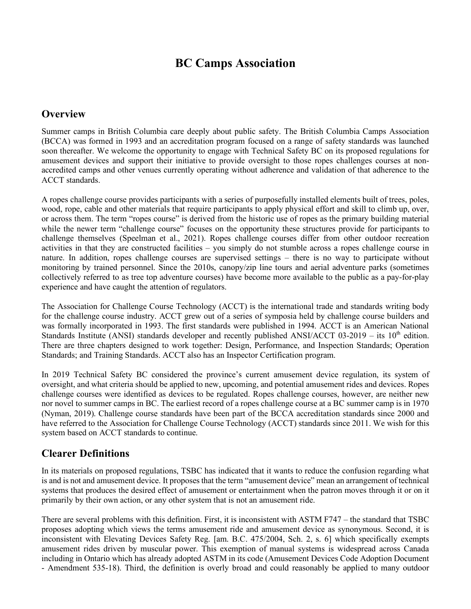# **BC Camps Association**

## **Overview**

Summer camps in British Columbia care deeply about public safety. The British Columbia Camps Association (BCCA) was formed in 1993 and an accreditation program focused on a range of safety standards was launched soon thereafter. We welcome the opportunity to engage with Technical Safety BC on its proposed regulations for amusement devices and support their initiative to provide oversight to those ropes challenges courses at nonaccredited camps and other venues currently operating without adherence and validation of that adherence to the ACCT standards.

A ropes challenge course provides participants with a series of purposefully installed elements built of trees, poles, wood, rope, cable and other materials that require participants to apply physical effort and skill to climb up, over, or across them. The term "ropes course" is derived from the historic use of ropes as the primary building material while the newer term "challenge course" focuses on the opportunity these structures provide for participants to challenge themselves (Speelman et al., 2021). Ropes challenge courses differ from other outdoor recreation activities in that they are constructed facilities – you simply do not stumble across a ropes challenge course in nature. In addition, ropes challenge courses are supervised settings – there is no way to participate without monitoring by trained personnel. Since the 2010s, canopy/zip line tours and aerial adventure parks (sometimes collectively referred to as tree top adventure courses) have become more available to the public as a pay-for-play experience and have caught the attention of regulators.

The Association for Challenge Course Technology (ACCT) is the international trade and standards writing body for the challenge course industry. ACCT grew out of a series of symposia held by challenge course builders and was formally incorporated in 1993. The first standards were published in 1994. ACCT is an American National Standards Institute (ANSI) standards developer and recently published ANSI/ACCT 03-2019 – its  $10<sup>th</sup>$  edition. There are three chapters designed to work together: Design, Performance, and Inspection Standards; Operation Standards; and Training Standards. ACCT also has an Inspector Certification program.

In 2019 Technical Safety BC considered the province's current amusement device regulation, its system of oversight, and what criteria should be applied to new, upcoming, and potential amusement rides and devices. Ropes challenge courses were identified as devices to be regulated. Ropes challenge courses, however, are neither new nor novel to summer camps in BC. The earliest record of a ropes challenge course at a BC summer camp is in 1970 (Nyman, 2019). Challenge course standards have been part of the BCCA accreditation standards since 2000 and have referred to the Association for Challenge Course Technology (ACCT) standards since 2011. We wish for this system based on ACCT standards to continue.

## **Clearer Definitions**

In its materials on proposed regulations, TSBC has indicated that it wants to reduce the confusion regarding what is and is not and amusement device. It proposes that the term "amusement device" mean an arrangement of technical systems that produces the desired effect of amusement or entertainment when the patron moves through it or on it primarily by their own action, or any other system that is not an amusement ride.

There are several problems with this definition. First, it is inconsistent with ASTM F747 – the standard that TSBC proposes adopting which views the terms amusement ride and amusement device as synonymous. Second, it is inconsistent with Elevating Devices Safety Reg. [am. B.C. 475/2004, Sch. 2, s. 6] which specifically exempts amusement rides driven by muscular power. This exemption of manual systems is widespread across Canada including in Ontario which has already adopted ASTM in its code (Amusement Devices Code Adoption Document - Amendment 535-18). Third, the definition is overly broad and could reasonably be applied to many outdoor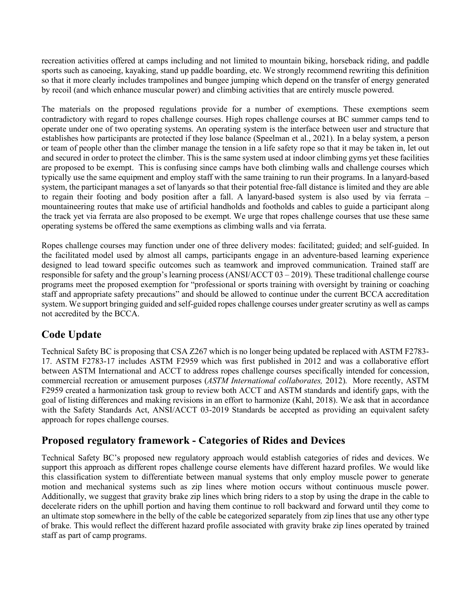recreation activities offered at camps including and not limited to mountain biking, horseback riding, and paddle sports such as canoeing, kayaking, stand up paddle boarding, etc. We strongly recommend rewriting this definition so that it more clearly includes trampolines and bungee jumping which depend on the transfer of energy generated by recoil (and which enhance muscular power) and climbing activities that are entirely muscle powered.

The materials on the proposed regulations provide for a number of exemptions. These exemptions seem contradictory with regard to ropes challenge courses. High ropes challenge courses at BC summer camps tend to operate under one of two operating systems. An operating system is the interface between user and structure that establishes how participants are protected if they lose balance (Speelman et al., 2021). In a belay system, a person or team of people other than the climber manage the tension in a life safety rope so that it may be taken in, let out and secured in order to protect the climber. This is the same system used at indoor climbing gyms yet these facilities are proposed to be exempt. This is confusing since camps have both climbing walls and challenge courses which typically use the same equipment and employ staff with the same training to run their programs. In a lanyard-based system, the participant manages a set of lanyards so that their potential free-fall distance is limited and they are able to regain their footing and body position after a fall. A lanyard-based system is also used by via ferrata – mountaineering routes that make use of artificial handholds and footholds and cables to guide a participant along the track yet via ferrata are also proposed to be exempt. We urge that ropes challenge courses that use these same operating systems be offered the same exemptions as climbing walls and via ferrata.

Ropes challenge courses may function under one of three delivery modes: facilitated; guided; and self-guided. In the facilitated model used by almost all camps, participants engage in an adventure-based learning experience designed to lead toward specific outcomes such as teamwork and improved communication. Trained staff are responsible for safety and the group's learning process (ANSI/ACCT 03 – 2019). These traditional challenge course programs meet the proposed exemption for "professional or sports training with oversight by training or coaching staff and appropriate safety precautions" and should be allowed to continue under the current BCCA accreditation system. We support bringing guided and self-guided ropes challenge courses under greater scrutiny as well as camps not accredited by the BCCA.

# **Code Update**

Technical Safety BC is proposing that CSA Z267 which is no longer being updated be replaced with ASTM F2783- 17. ASTM F2783-17 includes ASTM F2959 which was first published in 2012 and was a collaborative effort between ASTM International and ACCT to address ropes challenge courses specifically intended for concession, commercial recreation or amusement purposes (*ASTM International collaborates,* 2012). More recently, ASTM F2959 created a harmonization task group to review both ACCT and ASTM standards and identify gaps, with the goal of listing differences and making revisions in an effort to harmonize (Kahl, 2018). We ask that in accordance with the Safety Standards Act, ANSI/ACCT 03-2019 Standards be accepted as providing an equivalent safety approach for ropes challenge courses.

## **Proposed regulatory framework - Categories of Rides and Devices**

Technical Safety BC's proposed new regulatory approach would establish categories of rides and devices. We support this approach as different ropes challenge course elements have different hazard profiles. We would like this classification system to differentiate between manual systems that only employ muscle power to generate motion and mechanical systems such as zip lines where motion occurs without continuous muscle power. Additionally, we suggest that gravity brake zip lines which bring riders to a stop by using the drape in the cable to decelerate riders on the uphill portion and having them continue to roll backward and forward until they come to an ultimate stop somewhere in the belly of the cable be categorized separately from zip lines that use any other type of brake. This would reflect the different hazard profile associated with gravity brake zip lines operated by trained staff as part of camp programs.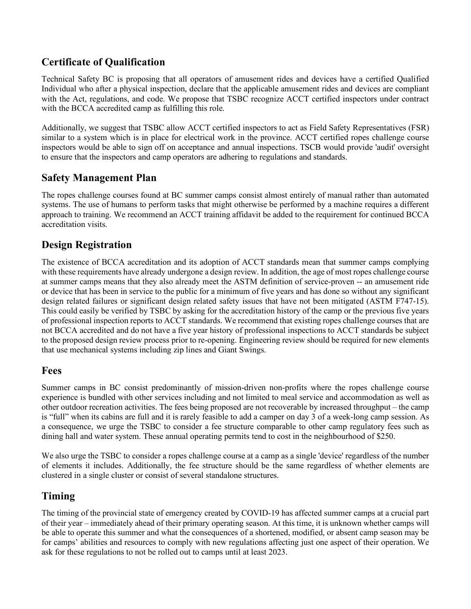# **Certificate of Qualification**

Technical Safety BC is proposing that all operators of amusement rides and devices have a certified Qualified Individual who after a physical inspection, declare that the applicable amusement rides and devices are compliant with the Act, regulations, and code. We propose that TSBC recognize ACCT certified inspectors under contract with the BCCA accredited camp as fulfilling this role.

Additionally, we suggest that TSBC allow ACCT certified inspectors to act as Field Safety Representatives (FSR) similar to a system which is in place for electrical work in the province. ACCT certified ropes challenge course inspectors would be able to sign off on acceptance and annual inspections. TSCB would provide 'audit' oversight to ensure that the inspectors and camp operators are adhering to regulations and standards.

#### **Safety Management Plan**

The ropes challenge courses found at BC summer camps consist almost entirely of manual rather than automated systems. The use of humans to perform tasks that might otherwise be performed by a machine requires a different approach to training. We recommend an ACCT training affidavit be added to the requirement for continued BCCA accreditation visits.

## **Design Registration**

The existence of BCCA accreditation and its adoption of ACCT standards mean that summer camps complying with these requirements have already undergone a design review. In addition, the age of most ropes challenge course at summer camps means that they also already meet the ASTM definition of service-proven -- an amusement ride or device that has been in service to the public for a minimum of five years and has done so without any significant design related failures or significant design related safety issues that have not been mitigated (ASTM F747-15). This could easily be verified by TSBC by asking for the accreditation history of the camp or the previous five years of professional inspection reports to ACCT standards. We recommend that existing ropes challenge courses that are not BCCA accredited and do not have a five year history of professional inspections to ACCT standards be subject to the proposed design review process prior to re-opening. Engineering review should be required for new elements that use mechanical systems including zip lines and Giant Swings.

#### **Fees**

Summer camps in BC consist predominantly of mission-driven non-profits where the ropes challenge course experience is bundled with other services including and not limited to meal service and accommodation as well as other outdoor recreation activities. The fees being proposed are not recoverable by increased throughput – the camp is "full" when its cabins are full and it is rarely feasible to add a camper on day 3 of a week-long camp session. As a consequence, we urge the TSBC to consider a fee structure comparable to other camp regulatory fees such as dining hall and water system. These annual operating permits tend to cost in the neighbourhood of \$250.

We also urge the TSBC to consider a ropes challenge course at a camp as a single 'device' regardless of the number of elements it includes. Additionally, the fee structure should be the same regardless of whether elements are clustered in a single cluster or consist of several standalone structures.

## **Timing**

The timing of the provincial state of emergency created by COVID-19 has affected summer camps at a crucial part of their year – immediately ahead of their primary operating season. At this time, it is unknown whether camps will be able to operate this summer and what the consequences of a shortened, modified, or absent camp season may be for camps' abilities and resources to comply with new regulations affecting just one aspect of their operation. We ask for these regulations to not be rolled out to camps until at least 2023.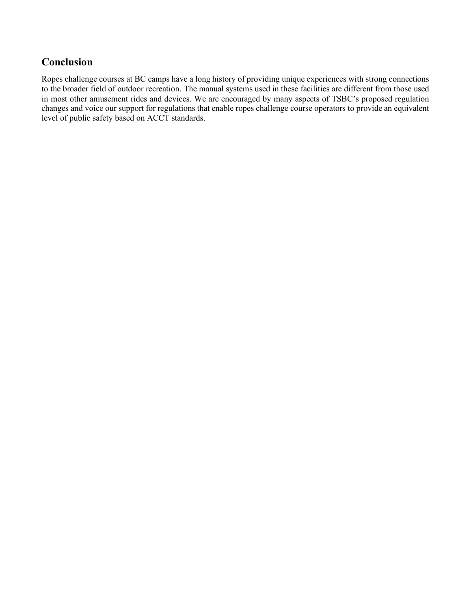# **Conclusion**

Ropes challenge courses at BC camps have a long history of providing unique experiences with strong connections to the broader field of outdoor recreation. The manual systems used in these facilities are different from those used in most other amusement rides and devices. We are encouraged by many aspects of TSBC's proposed regulation changes and voice our support for regulations that enable ropes challenge course operators to provide an equivalent level of public safety based on ACCT standards.